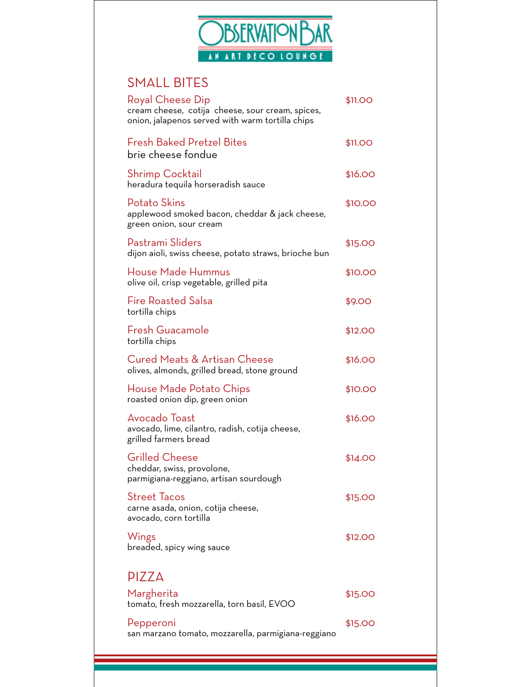

# SMALL BITES

| Royal Cheese Dip<br>cream cheese, cotija cheese, sour cream, spices,<br>onion, jalapenos served with warm tortilla chips | \$11.OO |
|--------------------------------------------------------------------------------------------------------------------------|---------|
| Fresh Baked Pretzel Bites<br>brie cheese fondue                                                                          | \$11.00 |
| Shrimp Cocktail<br>heradura tequila horseradish sauce                                                                    | \$16.00 |
| Potato Skins<br>applewood smoked bacon, cheddar & jack cheese,<br>green onion, sour cream                                | \$10.00 |
| Pastrami Sliders<br>dijon aioli, swiss cheese, potato straws, brioche bun                                                | \$15.00 |
| House Made Hummus<br>olive oil, crisp vegetable, grilled pita                                                            | \$10.00 |
| <b>Fire Roasted Salsa</b><br>tortilla chips                                                                              | \$9.00  |
| Fresh Guacamole<br>tortilla chips                                                                                        | \$12.00 |
| Cured Meats & Artisan Cheese<br>olives, almonds, grilled bread, stone ground                                             | \$16.00 |
| House Made Potato Chips<br>roasted onion dip, green onion                                                                | \$10.00 |
| Avocado Toast<br>avocado, lime, cilantro, radish, cotija cheese,<br>grilled farmers bread                                | \$16.00 |
| <b>Grilled Cheese</b><br>cheddar, swiss, provolone,<br>parmigiana-reggiano, artisan sourdough                            | \$14.00 |
| <b>Street Tacos</b><br>carne asada, onion, cotija cheese,<br>avocado, corn tortilla                                      | \$15.00 |
| Wings<br>breaded, spicy wing sauce                                                                                       | \$12.00 |
| <b>PIZZA</b>                                                                                                             |         |
| Margherita<br>tomato, fresh mozzarella, torn basil, EVOO                                                                 | \$15.00 |
| Pepperoni<br>san marzano tomato, mozzarella, parmigiana-reggiano                                                         | \$15.00 |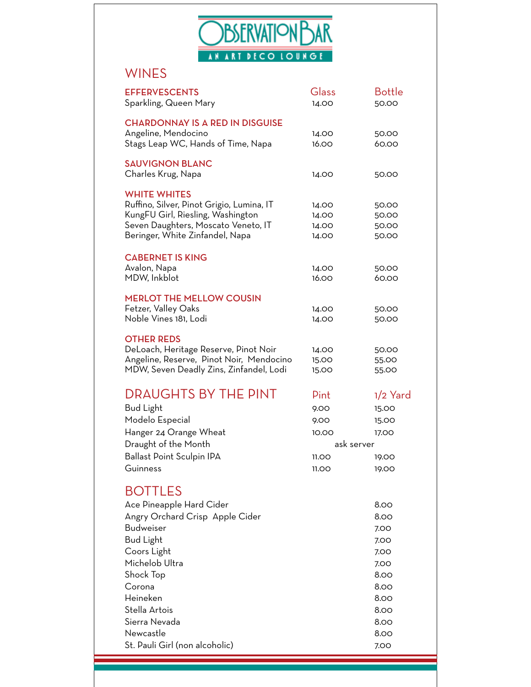

# WINES

| <b>EFFERVESCENTS</b><br>Sparkling, Queen Mary                                                                                                                                   | Glass<br>14.00                   | <b>Bottle</b><br>50.00           |
|---------------------------------------------------------------------------------------------------------------------------------------------------------------------------------|----------------------------------|----------------------------------|
| <b>CHARDONNAY IS A RED IN DISGUISE</b><br>Angeline, Mendocino                                                                                                                   | 14.00                            | 50.00                            |
| Stags Leap WC, Hands of Time, Napa                                                                                                                                              | 16.00                            | 60.00                            |
| <b>SAUVIGNON BLANC</b><br>Charles Krug, Napa                                                                                                                                    | 14.00                            | 50.00                            |
| <b>WHITE WHITES</b><br>Ruffino, Silver, Pinot Grigio, Lumina, IT<br>KungFU Girl, Riesling, Washington<br>Seven Daughters, Moscato Veneto, IT<br>Beringer, White Zinfandel, Napa | 14.00<br>14.00<br>14.00<br>14.00 | 50.00<br>50.00<br>50.00<br>50.00 |
| <b>CABERNET IS KING</b><br>Avalon, Napa<br>MDW, Inkblot                                                                                                                         | 14.00<br>16.00                   | 50.00<br>60.00                   |
| <b>MERLOT THE MELLOW COUSIN</b><br>Fetzer, Valley Oaks<br>Noble Vines 181, Lodi                                                                                                 | 14.00<br>14.00                   | 50.00<br>50.00                   |
| <b>OTHER REDS</b><br>DeLoach, Heritage Reserve, Pinot Noir<br>Angeline, Reserve, Pinot Noir, Mendocino<br>MDW, Seven Deadly Zins, Zinfandel, Lodi                               | 14.00<br>15.00<br>15.00          | 50.00<br>55.00<br>55.00          |
| <b>DRAUGHTS BY THE PINT</b>                                                                                                                                                     | Pint                             | $1/2$ Yard                       |
| <b>Bud Light</b>                                                                                                                                                                | 9.00                             | 15.00                            |
| Modelo Especial                                                                                                                                                                 | 9.00                             | 15.00                            |
| Hanger 24 Orange Wheat                                                                                                                                                          | 10.00                            | 17.00                            |
| Draught of the Month                                                                                                                                                            | ask server                       |                                  |
| Ballast Point Sculpin IPA                                                                                                                                                       | 11.00                            | 19.00                            |
| Guinness                                                                                                                                                                        | 11.OO                            | 19.00                            |
| <b>BOTTLES</b>                                                                                                                                                                  |                                  |                                  |
| Ace Pineapple Hard Cider                                                                                                                                                        |                                  | 8.00                             |
| Angry Orchard Crisp Apple Cider                                                                                                                                                 |                                  | 8.00                             |
| <b>Budweiser</b>                                                                                                                                                                |                                  | 7.00                             |
| <b>Bud Light</b>                                                                                                                                                                |                                  | 7.00                             |
| Coors Light                                                                                                                                                                     |                                  | 7.00                             |
| Michelob Ultra                                                                                                                                                                  |                                  | 7.00                             |
| Shock Top                                                                                                                                                                       |                                  | 8.00                             |
| Corona                                                                                                                                                                          |                                  | 8.00                             |
| Heineken                                                                                                                                                                        |                                  | 8.00                             |
| Stella Artois                                                                                                                                                                   |                                  | 8.00                             |
| Sierra Nevada                                                                                                                                                                   |                                  | 8.00                             |
| Newcastle                                                                                                                                                                       |                                  | 8.00                             |
| St. Pauli Girl (non alcoholic)                                                                                                                                                  |                                  | 7.00                             |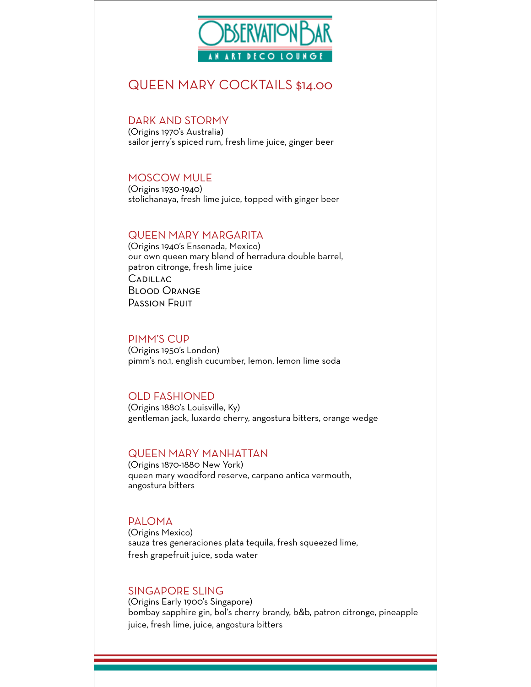

# QUEEN MARY COCKTAILS \$14.00

### DARK AND STORMY

(Origins 1970's Australia) sailor jerry's spiced rum, fresh lime juice, ginger beer

#### MOSCOW MULE

(Origins 1930-1940) stolichanaya, fresh lime juice, topped with ginger beer

### QUEEN MARY MARGARITA

(Origins 1940's Ensenada, Mexico) our own queen mary blend of herradura double barrel, patron citronge, fresh lime juice **CADILLAC** Blood Orange Passion Fruit

#### PIMM'S CUP

(Origins 1950's London) pimm's no.1, english cucumber, lemon, lemon lime soda

## OLD FASHIONED

(Origins 1880's Louisville, Ky) gentleman jack, luxardo cherry, angostura bitters, orange wedge

#### QUEEN MARY MANHATTAN

(Origins 1870-1880 New York) queen mary woodford reserve, carpano antica vermouth, angostura bitters

#### PALOMA

(Origins Mexico) sauza tres generaciones plata tequila, fresh squeezed lime, fresh grapefruit juice, soda water

## SINGAPORE SLING

(Origins Early 1900's Singapore) bombay sapphire gin, bol's cherry brandy, b&b, patron citronge, pineapple juice, fresh lime, juice, angostura bitters